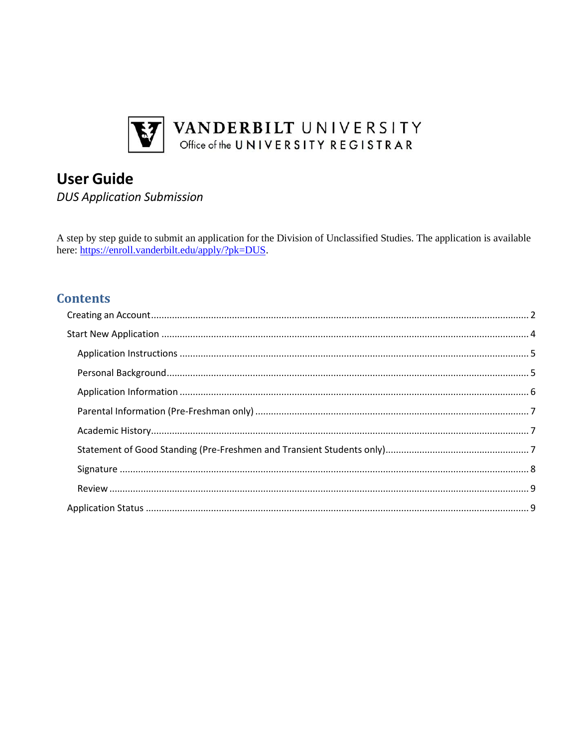

# **User Guide**

**DUS Application Submission** 

A step by step guide to submit an application for the Division of Unclassified Studies. The application is available here: https://enroll.vanderbilt.edu/apply/?pk=DUS.

# **Contents**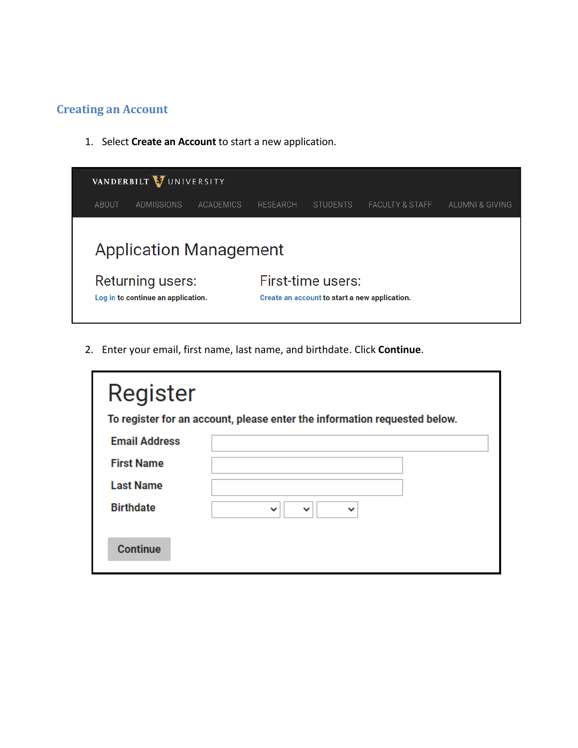## <span id="page-1-0"></span>**Creating an Account**

1. Select **Create an Account** to start a new application.



2. Enter your email, first name, last name, and birthdate. Click **Continue**.

| Register             |                                                                           |
|----------------------|---------------------------------------------------------------------------|
|                      | To register for an account, please enter the information requested below. |
| <b>Email Address</b> |                                                                           |
| <b>First Name</b>    |                                                                           |
| <b>Last Name</b>     |                                                                           |
| <b>Birthdate</b>     | $\checkmark$<br>$\checkmark$                                              |
| <b>Continue</b>      |                                                                           |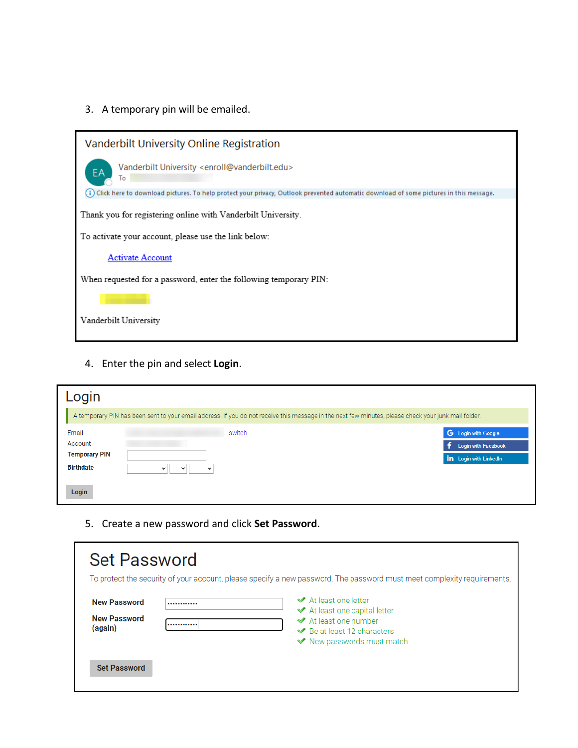3. A temporary pin will be emailed.



4. Enter the pin and select **Login**.

| Login                                    |                                                                                                                                                      |                                                                      |
|------------------------------------------|------------------------------------------------------------------------------------------------------------------------------------------------------|----------------------------------------------------------------------|
|                                          | A temporary PIN has been sent to your email address. If you do not receive this message in the next few minutes, please check your junk mail folder. |                                                                      |
| Email<br>Account<br><b>Temporary PIN</b> | switch                                                                                                                                               | G Login with Google<br>Login with Facebook<br>in Login with LinkedIn |
| <b>Birthdate</b><br>Login                | $\checkmark$<br>w<br>$\checkmark$                                                                                                                    |                                                                      |

5. Create a new password and click **Set Password**.

| <b>Set Password</b><br>To protect the security of your account, please specify a new password. The password must meet complexity requirements. |                                                                                                                                                                    |  |
|------------------------------------------------------------------------------------------------------------------------------------------------|--------------------------------------------------------------------------------------------------------------------------------------------------------------------|--|
| <b>New Password</b><br><b>New Password</b><br>(again)                                                                                          | <b>◆</b> At least one letter<br><br><b>◆</b> At least one capital letter<br>◆ At least one number<br><br>◆ Be at least 12 characters<br>◆ New passwords must match |  |
| <b>Set Password</b>                                                                                                                            |                                                                                                                                                                    |  |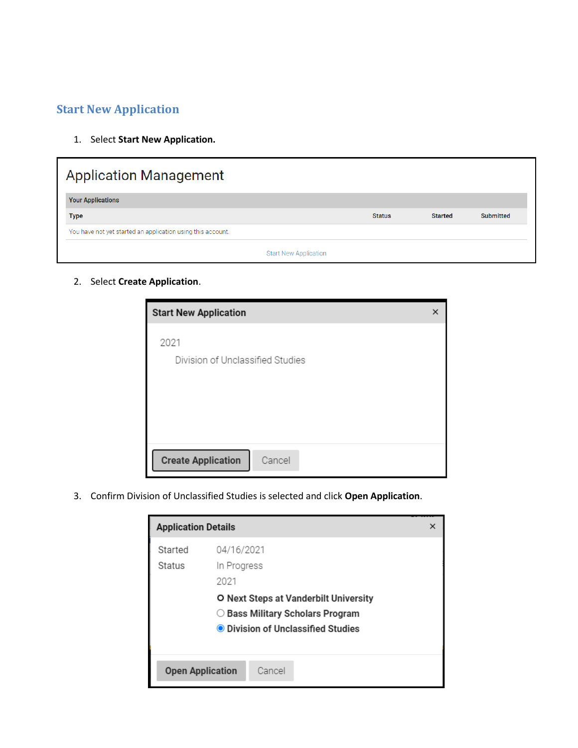## <span id="page-3-0"></span>**Start New Application**

1. Select **Start New Application.**

| <b>Application Management</b>                               |               |                |                  |
|-------------------------------------------------------------|---------------|----------------|------------------|
| <b>Your Applications</b>                                    |               |                |                  |
| <b>Type</b>                                                 | <b>Status</b> | <b>Started</b> | <b>Submitted</b> |
| You have not yet started an application using this account. |               |                |                  |
|                                                             |               |                |                  |

2. Select **Create Application**.

| <b>Start New Application</b>        | × |
|-------------------------------------|---|
| 2021                                |   |
| Division of Unclassified Studies    |   |
|                                     |   |
|                                     |   |
|                                     |   |
|                                     |   |
| <b>Create Application</b><br>Cancel |   |

3. Confirm Division of Unclassified Studies is selected and click **Open Application**.

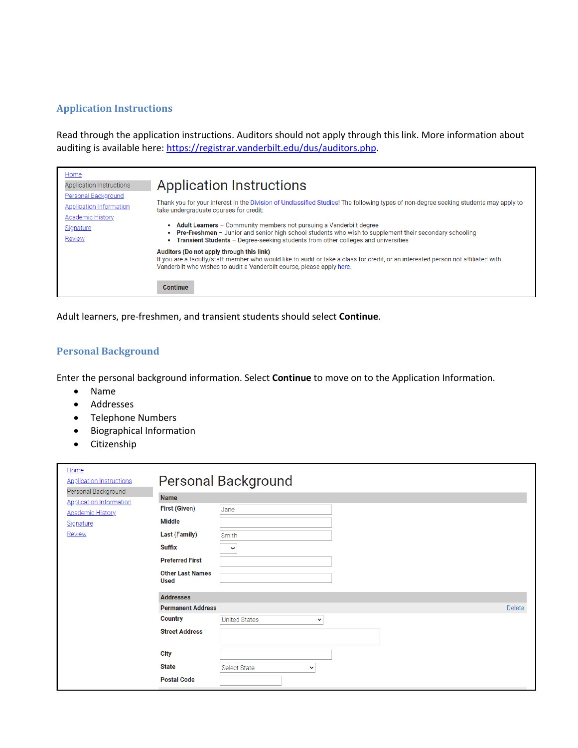#### <span id="page-4-0"></span>**Application Instructions**

Read through the application instructions. Auditors should not apply through this link. More information about auditing is available here: [https://registrar.vanderbilt.edu/dus/auditors.php.](https://registrar.vanderbilt.edu/dus/auditors.php)

| Home<br>Application Instructions<br>Personal Background   | <b>Application Instructions</b>                                                                                                                                                                                                                                          |
|-----------------------------------------------------------|--------------------------------------------------------------------------------------------------------------------------------------------------------------------------------------------------------------------------------------------------------------------------|
| <b>Application Information</b><br><b>Academic History</b> | Thank you for your interest in the Division of Unclassified Studies! The following types of non-degree seeking students may apply to<br>take undergraduate courses for credit:                                                                                           |
| Signature<br>Review                                       | • Adult Learners - Community members not pursuing a Vanderbilt degree<br>• Pre-Freshmen - Junior and senior high school students who wish to supplement their secondary schooling<br>• Transient Students - Degree-seeking students from other colleges and universities |
|                                                           | Auditors (Do not apply through this link)<br>If you are a faculty/staff member who would like to audit or take a class for credit, or an interested person not affiliated with<br>Vanderbilt who wishes to audit a Vanderbilt course, please apply here.                 |
|                                                           | <b>Continue</b>                                                                                                                                                                                                                                                          |

Adult learners, pre-freshmen, and transient students should select **Continue**.

## <span id="page-4-1"></span>**Personal Background**

Enter the personal background information. Select **Continue** to move on to the Application Information.

- Name
- Addresses
- Telephone Numbers
- Biographical Information
- Citizenship

| Home<br><b>Application Instructions</b><br>Personal Background |                                 | <b>Personal Background</b>           |        |
|----------------------------------------------------------------|---------------------------------|--------------------------------------|--------|
| <b>Application Information</b>                                 | <b>Name</b>                     |                                      |        |
| <b>Academic History</b>                                        | <b>First (Given)</b>            | Jane                                 |        |
| Signature                                                      | <b>Middle</b>                   |                                      |        |
| Review                                                         | <b>Last (Family)</b>            | Smith                                |        |
|                                                                | <b>Suffix</b>                   | $\checkmark$                         |        |
|                                                                | <b>Preferred First</b>          |                                      |        |
|                                                                | <b>Other Last Names</b><br>Used |                                      |        |
|                                                                | <b>Addresses</b>                |                                      |        |
|                                                                | <b>Permanent Address</b>        |                                      | Delete |
|                                                                | <b>Country</b>                  | <b>United States</b><br>$\checkmark$ |        |
|                                                                | <b>Street Address</b>           |                                      |        |
|                                                                | <b>City</b>                     |                                      |        |
|                                                                | <b>State</b>                    | <b>Select State</b><br>$\check{~}$   |        |
|                                                                | <b>Postal Code</b>              |                                      |        |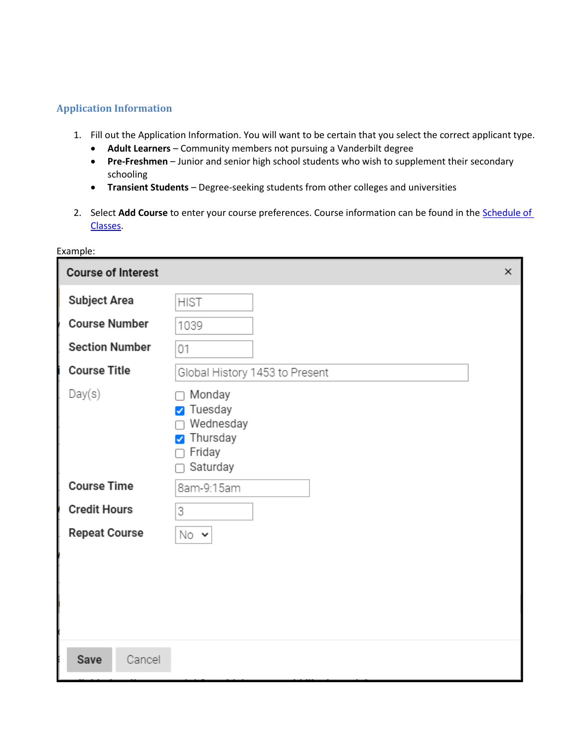#### <span id="page-5-0"></span>**Application Information**

Example:

- 1. Fill out the Application Information. You will want to be certain that you select the correct applicant type.
	- **Adult Learners** Community members not pursuing a Vanderbilt degree
	- **Pre-Freshmen** Junior and senior high school students who wish to supplement their secondary schooling
	- **Transient Students** Degree-seeking students from other colleges and universities
- 2. Select **Add Course** to enter your course preferences. Course information can be found in the **Schedule of** [Classes.](https://acad.app.vanderbilt.edu/more/SearchClasses!input.action)

| <b>Course of Interest</b> |                                                                                                                        | × |
|---------------------------|------------------------------------------------------------------------------------------------------------------------|---|
| <b>Subject Area</b>       | <b>HIST</b>                                                                                                            |   |
| <b>Course Number</b>      | 1039                                                                                                                   |   |
| <b>Section Number</b>     | 01                                                                                                                     |   |
| <b>Course Title</b>       | Global History 1453 to Present                                                                                         |   |
| Day(s)                    | Monday<br>n.<br>Tuesday<br>$\blacktriangledown$<br>Wednesday<br>Thursday<br>$\blacktriangledown$<br>Friday<br>Saturday |   |
| <b>Course Time</b>        | 8am-9:15am                                                                                                             |   |
| <b>Credit Hours</b>       | 3                                                                                                                      |   |
| <b>Repeat Course</b>      | No v                                                                                                                   |   |
|                           |                                                                                                                        |   |
| <b>Save</b><br>Cancel     |                                                                                                                        |   |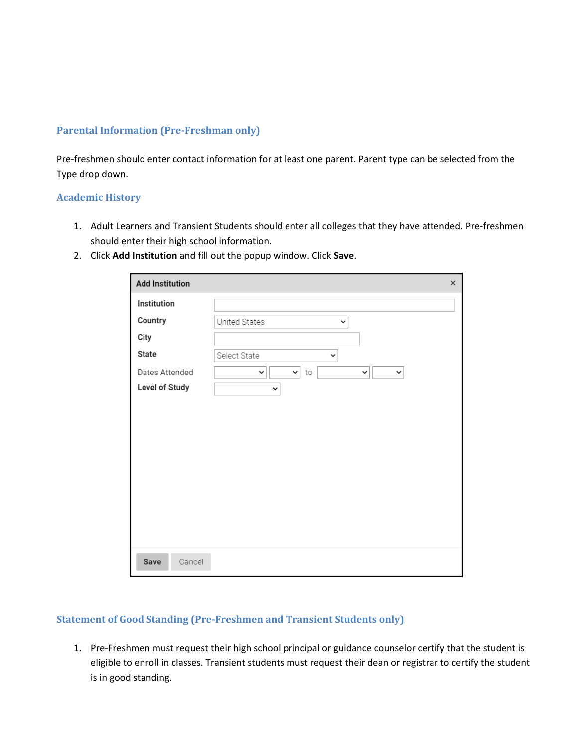#### <span id="page-6-0"></span>**Parental Information (Pre-Freshman only)**

Pre-freshmen should enter contact information for at least one parent. Parent type can be selected from the Type drop down.

#### <span id="page-6-1"></span>**Academic History**

- 1. Adult Learners and Transient Students should enter all colleges that they have attended. Pre-freshmen should enter their high school information.
- 2. Click **Add Institution** and fill out the popup window. Click **Save**.

| <b>Add Institution</b> |                                                                                      | $\times$ |
|------------------------|--------------------------------------------------------------------------------------|----------|
| Institution            |                                                                                      |          |
| Country                | United States<br>v                                                                   |          |
| City                   |                                                                                      |          |
| State                  | Select State<br>$\checkmark$                                                         |          |
| Dates Attended         | $\mathord{\blacktriangledown}$<br>to<br>$\checkmark$<br>$\checkmark$<br>$\checkmark$ |          |
| <b>Level of Study</b>  | $\checkmark$                                                                         |          |
|                        |                                                                                      |          |
|                        |                                                                                      |          |
|                        |                                                                                      |          |
|                        |                                                                                      |          |
|                        |                                                                                      |          |
|                        |                                                                                      |          |
|                        |                                                                                      |          |
|                        |                                                                                      |          |
|                        |                                                                                      |          |
| Save<br>Cancel         |                                                                                      |          |

#### <span id="page-6-2"></span>**Statement of Good Standing (Pre-Freshmen and Transient Students only)**

1. Pre-Freshmen must request their high school principal or guidance counselor certify that the student is eligible to enroll in classes. Transient students must request their dean or registrar to certify the student is in good standing.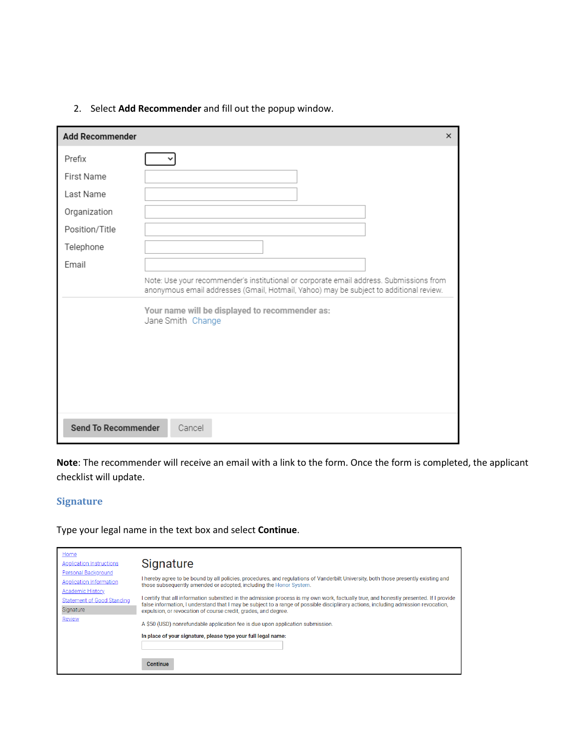|  | 2. Select Add Recommender and fill out the popup window. |  |  |
|--|----------------------------------------------------------|--|--|
|--|----------------------------------------------------------|--|--|

| <b>Add Recommender</b>     | $\times$                                                                                                                                                                          |
|----------------------------|-----------------------------------------------------------------------------------------------------------------------------------------------------------------------------------|
| Prefix                     |                                                                                                                                                                                   |
| First Name                 |                                                                                                                                                                                   |
| Last Name                  |                                                                                                                                                                                   |
| Organization               |                                                                                                                                                                                   |
| Position/Title             |                                                                                                                                                                                   |
| Telephone                  |                                                                                                                                                                                   |
| Email                      |                                                                                                                                                                                   |
|                            | Note: Use your recommender's institutional or corporate email address. Submissions from<br>anonymous email addresses (Gmail, Hotmail, Yahoo) may be subject to additional review. |
|                            | Your name will be displayed to recommender as:<br>Jane Smith Change                                                                                                               |
| <b>Send To Recommender</b> | Cancel                                                                                                                                                                            |

**Note**: The recommender will receive an email with a link to the form. Once the form is completed, the applicant checklist will update.

## <span id="page-7-0"></span>**Signature**

Type your legal name in the text box and select **Continue**.

| Home<br><b>Application Instructions</b>                                   | Signature                                                                                                                                                                                                                                                                                                                                      |
|---------------------------------------------------------------------------|------------------------------------------------------------------------------------------------------------------------------------------------------------------------------------------------------------------------------------------------------------------------------------------------------------------------------------------------|
| Personal Background<br><b>Application Information</b><br>Academic History | I hereby agree to be bound by all policies, procedures, and regulations of Vanderbilt University, both those presently existing and<br>those subsequently amended or adopted, including the Honor System.                                                                                                                                      |
| Statement of Good Standing<br>Signature                                   | I certify that all information submitted in the admission process is my own work, factually true, and honestly presented. If I provide<br>false information, I understand that I may be subject to a range of possible disciplinary actions, including admission revocation,<br>expulsion, or revocation of course credit, grades, and degree. |
| Review                                                                    | A \$50 (USD) nonrefundable application fee is due upon application submission.                                                                                                                                                                                                                                                                 |
|                                                                           | In place of your signature, please type your full legal name:                                                                                                                                                                                                                                                                                  |
|                                                                           | <b>Continue</b>                                                                                                                                                                                                                                                                                                                                |